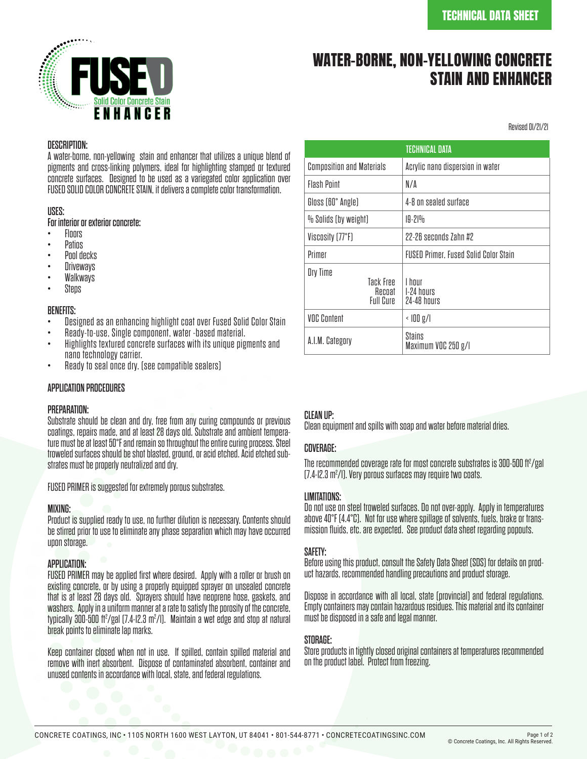

# WATER-BORNE, NON-YELLOWING CONCRETE STAIN AND ENHANCER

Revised 01/21/21

#### DESCRIPTION:

A water-borne, non-yellowing stain and enhancer that utilizes a unique blend of pigments and cross-linking polymers, ideal for highlighting stamped or textured concrete surfaces. Designed to be used as a variegated color application over FUSED SOLID COLOR CONCRETE STAIN, it delivers a complete color transformation.

#### USES:

For interior or exterior concrete:<br>• Floors

- 
- 
- 
- 
- Floors<br>• Patios<br>• Pool decks<br>• Driveways<br>• Steps
- 

- BENEFITS:<br>• Designed as an enhancing highlight coat over Fused Solid Color Stain
- 
- Ready-to-use, Single component, water -based material.<br>Highlights textured concrete surfaces with its unique pigments and<br>nano technology carrier.
- Ready to seal once dry. (see compatible sealers)

## APPLICATION PROCEDURES

#### PREPARATION:

Substrate should be clean and dry, free from any curing compounds or previous ture must be at least 50°F and remain so throughout the entire curing process. Steel troweled surfaces should be shot blasted, ground, or acid etched. Acid etched sub- strates must be properly neutralized and dry.

FUSED PRIMER is suggested for extremely porous substrates.

#### MIXING:

Product is supplied ready to use, no further dilution is necessary. Contents should be stirred prior to use to eliminate any phase separation which may have occurred upon storage.

#### APPLICATION:

FUSED PRIMER may be applied first where desired. Apply with a roller or brush on existing concrete, or by using a properly equipped sprayer on unsealed concrete that is at least 28 days old. Sprayers should have neoprene hose, gaskets, and washers. Apply in a uniform manner at a rate to satisfy the porosity of the concrete, typically 300-500 ft<sup>2</sup>/gal (7.4-I2.3 m<sup>2</sup>/I). Maintain a wet edge and stop at natural break points to eliminate lap marks.

Keep container closed when not in use. If spilled, contain spilled material and remove with inert absorbent. Dispose of contaminated absorbent, container and unused contents in accordance with local, state, and federal regulations.

| <b>TECHNICAL DATA</b>                               |                                              |
|-----------------------------------------------------|----------------------------------------------|
| <b>Composition and Materials</b>                    | Acrylic nano dispersion in water             |
| <b>Flash Pnint</b>                                  | N/A                                          |
| Gloss (60° Angle)                                   | 4-8 on sealed surface                        |
| % Solids (by weight)                                | $19 - 21%$                                   |
| Viscosity (77°F)                                    | 22-26 seconds 7ahn #2                        |
| Primer                                              | <b>FUSED Primer, Fused Solid Color Stain</b> |
| Dry Time<br>Tack Free<br>Recoat<br><b>Full Cure</b> | I hnur<br>1-24 hours<br>24-48 hours          |
| <b>VOC Content</b>                                  | $\langle$ $ 00 \text{ g}/ $                  |
| A.I.M. Category                                     | Stains<br>Maximum VOC 250 g/l                |

## CLEAN UP:

Clean equipment and spills with soap and water before material dries.

#### COVERAGE:

The recommended coverage rate for most concrete substrates is  $300$ -500 ft $\textdegree$ /gal (7.4-I2.3 m<sup>2</sup>/I). Very porous surfaces may require two coats.

#### LIMITATIONS:

Do not use on steel troweled surfaces. Do not over-apply. Apply in temperatures mission fluids, etc. are expected. See product data sheet regarding popouts.

#### SAFETY:

Before using this product, consult the Safety Data Sheet (SDS) for details on prod- uct hazards, recommended handling precautions and product storage.

Dispose in accordance with all local, state (provincial) and federal regulations. Empty containers may contain hazardous residues. This material and its container must be disposed in a safe and legal manner.

#### STORAGE:

Store products in tightly closed original containers at temperatures recommended on the product label. Protect from freezing.